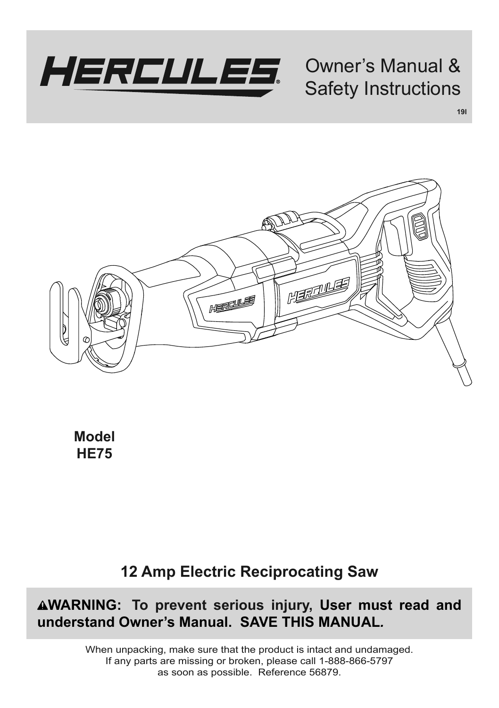

# Owner's Manual & Safety Instructions

**19l**

**MARTINES** HEREWS

**Model HE75**

# **12 Amp Electric Reciprocating Saw**

**WARNING: To prevent serious injury, User must read and understand Owner's Manual. SAVE THIS MANUAL***.*

> When unpacking, make sure that the product is intact and undamaged. If any parts are missing or broken, please call 1-888-866-5797 as soon as possible. Reference 56879.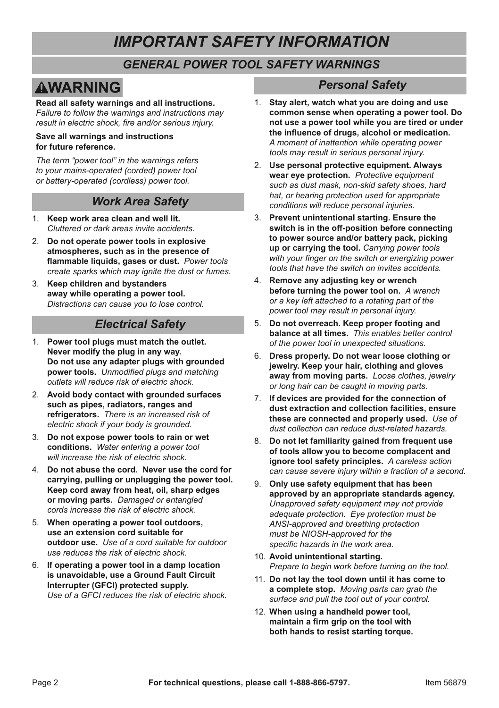# *IMPORTANT SAFETY INFORMATION*

# *GENERAL POWER TOOL SAFETY WARNINGS*

# **AWARNING**

**Read all safety warnings and all instructions.**  *Failure to follow the warnings and instructions may result in electric shock, fire and/or serious injury.*

#### **Save all warnings and instructions for future reference.**

*The term "power tool" in the warnings refers to your mains-operated (corded) power tool or battery-operated (cordless) power tool.*

### *Work Area Safety*

- 1. **Keep work area clean and well lit.**  *Cluttered or dark areas invite accidents.*
- 2. **Do not operate power tools in explosive atmospheres, such as in the presence of flammable liquids, gases or dust.** *Power tools create sparks which may ignite the dust or fumes.*
- 3. **Keep children and bystanders away while operating a power tool.**  *Distractions can cause you to lose control.*

# *Electrical Safety*

- 1. **Power tool plugs must match the outlet. Never modify the plug in any way. Do not use any adapter plugs with grounded power tools.** *Unmodified plugs and matching outlets will reduce risk of electric shock.*
- 2. **Avoid body contact with grounded surfaces such as pipes, radiators, ranges and refrigerators.** *There is an increased risk of electric shock if your body is grounded.*
- 3. **Do not expose power tools to rain or wet conditions.** *Water entering a power tool will increase the risk of electric shock.*
- 4. **Do not abuse the cord. Never use the cord for carrying, pulling or unplugging the power tool. Keep cord away from heat, oil, sharp edges or moving parts.** *Damaged or entangled cords increase the risk of electric shock.*
- 5. **When operating a power tool outdoors, use an extension cord suitable for outdoor use.** *Use of a cord suitable for outdoor use reduces the risk of electric shock.*
- 6. **If operating a power tool in a damp location is unavoidable, use a Ground Fault Circuit Interrupter (GFCI) protected supply.**  *Use of a GFCI reduces the risk of electric shock.*

# *Personal Safety*

- 1. **Stay alert, watch what you are doing and use common sense when operating a power tool. Do not use a power tool while you are tired or under the influence of drugs, alcohol or medication.**  *A moment of inattention while operating power tools may result in serious personal injury.*
- 2. **Use personal protective equipment. Always wear eye protection.** *Protective equipment such as dust mask, non-skid safety shoes, hard hat, or hearing protection used for appropriate conditions will reduce personal injuries.*
- 3. **Prevent unintentional starting. Ensure the switch is in the off-position before connecting to power source and/or battery pack, picking up or carrying the tool.** *Carrying power tools with your finger on the switch or energizing power tools that have the switch on invites accidents.*
- 4. **Remove any adjusting key or wrench before turning the power tool on.** *A wrench or a key left attached to a rotating part of the power tool may result in personal injury.*
- 5. **Do not overreach. Keep proper footing and balance at all times.** *This enables better control of the power tool in unexpected situations.*
- 6. **Dress properly. Do not wear loose clothing or jewelry. Keep your hair, clothing and gloves away from moving parts.** *Loose clothes, jewelry or long hair can be caught in moving parts.*
- 7. **If devices are provided for the connection of dust extraction and collection facilities, ensure these are connected and properly used.** *Use of dust collection can reduce dust-related hazards.*
- 8. **Do not let familiarity gained from frequent use of tools allow you to become complacent and ignore tool safety principles.** *A careless action can cause severe injury within a fraction of a second.*
- 9. **Only use safety equipment that has been approved by an appropriate standards agency.**  *Unapproved safety equipment may not provide adequate protection. Eye protection must be ANSI-approved and breathing protection must be NIOSH-approved for the specific hazards in the work area.*
- 10. **Avoid unintentional starting.**  *Prepare to begin work before turning on the tool.*
- 11. **Do not lay the tool down until it has come to a complete stop.** *Moving parts can grab the surface and pull the tool out of your control.*
- 12. **When using a handheld power tool, maintain a firm grip on the tool with both hands to resist starting torque.**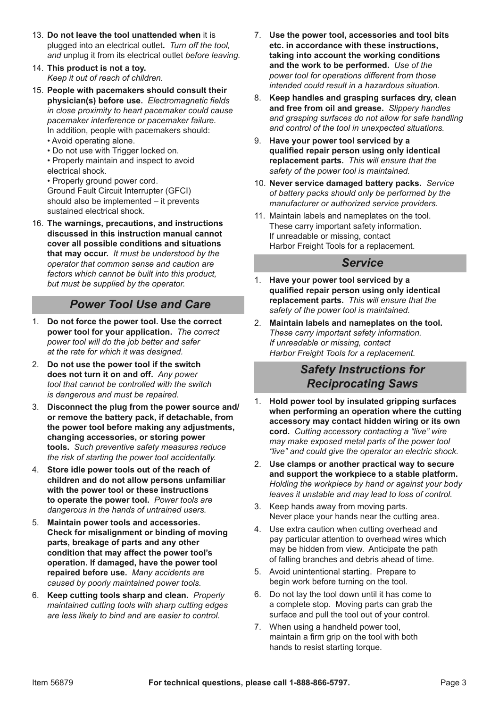- 13. **Do not leave the tool unattended when** it is plugged into an electrical outlet**.** *Turn off the tool, and* unplug it from its electrical outlet *before leaving.*
- 14. **This product is not a toy.**  *Keep it out of reach of children.*
- 15. **People with pacemakers should consult their physician(s) before use.** *Electromagnetic fields in close proximity to heart pacemaker could cause pacemaker interference or pacemaker failure.* In addition, people with pacemakers should:
	- Avoid operating alone.
	- Do not use with Trigger locked on.
	- Properly maintain and inspect to avoid electrical shock.
	- Properly ground power cord. Ground Fault Circuit Interrupter (GFCI) should also be implemented – it prevents sustained electrical shock.
- 16. **The warnings, precautions, and instructions discussed in this instruction manual cannot cover all possible conditions and situations that may occur.** *It must be understood by the operator that common sense and caution are*  factors which cannot be built into this product *but must be supplied by the operator.*

### *Power Tool Use and Care*

- 1. **Do not force the power tool. Use the correct power tool for your application.** *The correct power tool will do the job better and safer at the rate for which it was designed.*
- 2. **Do not use the power tool if the switch does not turn it on and off.** *Any power tool that cannot be controlled with the switch is dangerous and must be repaired.*
- 3. **Disconnect the plug from the power source and/ or remove the battery pack, if detachable, from the power tool before making any adjustments, changing accessories, or storing power tools.** *Such preventive safety measures reduce the risk of starting the power tool accidentally.*
- 4. **Store idle power tools out of the reach of children and do not allow persons unfamiliar with the power tool or these instructions to operate the power tool.** *Power tools are dangerous in the hands of untrained users.*
- 5. **Maintain power tools and accessories. Check for misalignment or binding of moving parts, breakage of parts and any other condition that may affect the power tool's operation. If damaged, have the power tool repaired before use.** *Many accidents are caused by poorly maintained power tools.*
- 6. **Keep cutting tools sharp and clean.** *Properly maintained cutting tools with sharp cutting edges are less likely to bind and are easier to control.*
- 7. **Use the power tool, accessories and tool bits etc. in accordance with these instructions, taking into account the working conditions and the work to be performed.** *Use of the power tool for operations different from those intended could result in a hazardous situation.*
- 8. **Keep handles and grasping surfaces dry, clean and free from oil and grease.** *Slippery handles and grasping surfaces do not allow for safe handling and control of the tool in unexpected situations.*
- 9. **Have your power tool serviced by a qualified repair person using only identical replacement parts.** *This will ensure that the safety of the power tool is maintained.*
- 10. **Never service damaged battery packs.** *Service of battery packs should only be performed by the manufacturer or authorized service providers.*
- 11. Maintain labels and nameplates on the tool. These carry important safety information. If unreadable or missing, contact Harbor Freight Tools for a replacement.

#### *Service*

- 1. **Have your power tool serviced by a qualified repair person using only identical replacement parts.** *This will ensure that the safety of the power tool is maintained.*
- 2. **Maintain labels and nameplates on the tool.**  *These carry important safety information. If unreadable or missing, contact Harbor Freight Tools for a replacement.*

### *Safety Instructions for Reciprocating Saws*

- 1. **Hold power tool by insulated gripping surfaces when performing an operation where the cutting accessory may contact hidden wiring or its own cord.** *Cutting accessory contacting a "live" wire may make exposed metal parts of the power tool "live" and could give the operator an electric shock.*
- 2. **Use clamps or another practical way to secure and support the workpiece to a stable platform.**  *Holding the workpiece by hand or against your body leaves it unstable and may lead to loss of control.*
- 3. Keep hands away from moving parts. Never place your hands near the cutting area.
- 4. Use extra caution when cutting overhead and pay particular attention to overhead wires which may be hidden from view. Anticipate the path of falling branches and debris ahead of time.
- 5. Avoid unintentional starting. Prepare to begin work before turning on the tool.
- 6. Do not lay the tool down until it has come to a complete stop. Moving parts can grab the surface and pull the tool out of your control.
- 7. When using a handheld power tool, maintain a firm grip on the tool with both hands to resist starting torque.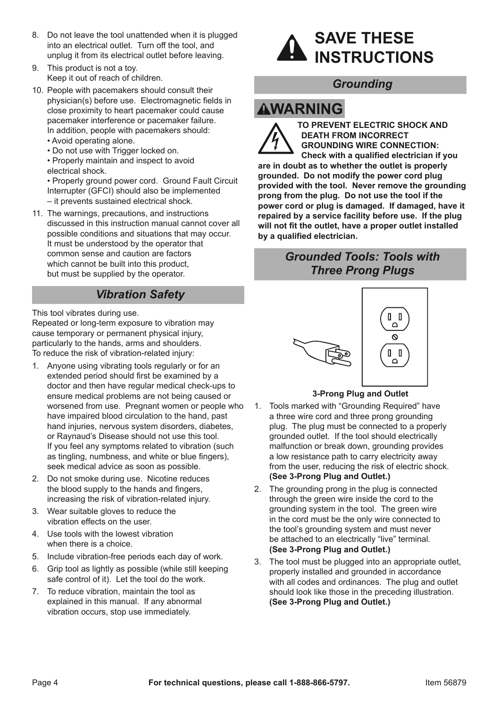- 8. Do not leave the tool unattended when it is plugged into an electrical outlet. Turn off the tool, and unplug it from its electrical outlet before leaving.
- 9. This product is not a toy. Keep it out of reach of children.
- 10. People with pacemakers should consult their physician(s) before use. Electromagnetic fields in close proximity to heart pacemaker could cause pacemaker interference or pacemaker failure. In addition, people with pacemakers should:
	- Avoid operating alone.
	- Do not use with Trigger locked on.
	- Properly maintain and inspect to avoid electrical shock.
	- Properly ground power cord. Ground Fault Circuit Interrupter (GFCI) should also be implemented
	- it prevents sustained electrical shock.
	-
- 11. The warnings, precautions, and instructions discussed in this instruction manual cannot cover all possible conditions and situations that may occur. It must be understood by the operator that common sense and caution are factors which cannot be built into this product, but must be supplied by the operator.

# *Vibration Safety*

This tool vibrates during use.

Repeated or long-term exposure to vibration may cause temporary or permanent physical injury, particularly to the hands, arms and shoulders. To reduce the risk of vibration-related injury:

- 1. Anyone using vibrating tools regularly or for an extended period should first be examined by a doctor and then have regular medical check-ups to ensure medical problems are not being caused or worsened from use. Pregnant women or people who have impaired blood circulation to the hand, past hand injuries, nervous system disorders, diabetes, or Raynaud's Disease should not use this tool. If you feel any symptoms related to vibration (such as tingling, numbness, and white or blue fingers), seek medical advice as soon as possible.
- 2. Do not smoke during use. Nicotine reduces the blood supply to the hands and fingers, increasing the risk of vibration-related injury.
- 3. Wear suitable gloves to reduce the vibration effects on the user.
- 4. Use tools with the lowest vibration when there is a choice.
- 5. Include vibration-free periods each day of work.
- 6. Grip tool as lightly as possible (while still keeping safe control of it). Let the tool do the work.
- 7. To reduce vibration, maintain the tool as explained in this manual. If any abnormal vibration occurs, stop use immediately.



# *Grounding*

# **AWARNING**



**TO PREVENT ELECTRIC SHOCK AND DEATH FROM INCORRECT GROUNDING WIRE CONNECTION: Check with a qualified electrician if you are in doubt as to whether the outlet is properly grounded. Do not modify the power cord plug provided with the tool. Never remove the grounding prong from the plug. Do not use the tool if the power cord or plug is damaged. If damaged, have it repaired by a service facility before use. If the plug will not fit the outlet, have a proper outlet installed by a qualified electrician.**

# *Grounded Tools: Tools with Three Prong Plugs*



#### **3-Prong Plug and Outlet**

- 1. Tools marked with "Grounding Required" have a three wire cord and three prong grounding plug. The plug must be connected to a properly grounded outlet. If the tool should electrically malfunction or break down, grounding provides a low resistance path to carry electricity away from the user, reducing the risk of electric shock. **(See 3-Prong Plug and Outlet.)**
- 2. The grounding prong in the plug is connected through the green wire inside the cord to the grounding system in the tool. The green wire in the cord must be the only wire connected to the tool's grounding system and must never be attached to an electrically "live" terminal. **(See 3-Prong Plug and Outlet.)**
- 3. The tool must be plugged into an appropriate outlet, properly installed and grounded in accordance with all codes and ordinances. The plug and outlet should look like those in the preceding illustration. **(See 3-Prong Plug and Outlet.)**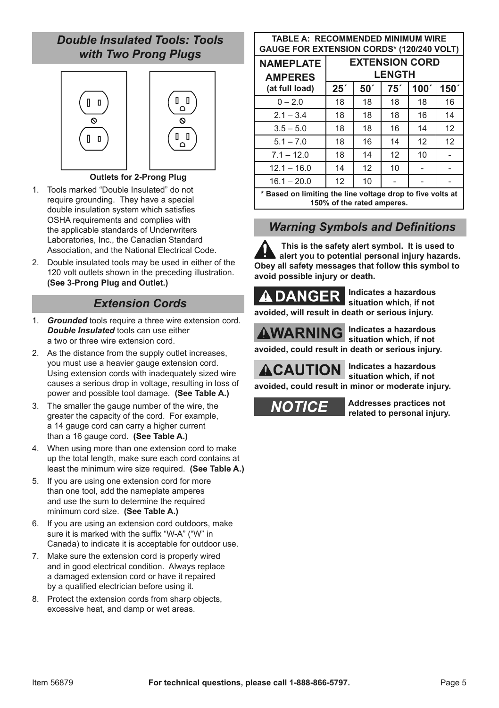# *Double Insulated Tools: Tools with Two Prong Plugs*



#### **Outlets for 2-Prong Plug**

- 1. Tools marked "Double Insulated" do not require grounding. They have a special double insulation system which satisfies OSHA requirements and complies with the applicable standards of Underwriters Laboratories, Inc., the Canadian Standard Association, and the National Electrical Code.
- 2. Double insulated tools may be used in either of the 120 volt outlets shown in the preceding illustration. **(See 3-Prong Plug and Outlet.)**

### *Extension Cords*

- 1. *Grounded* tools require a three wire extension cord. *Double Insulated* tools can use either a two or three wire extension cord.
- 2. As the distance from the supply outlet increases, you must use a heavier gauge extension cord. Using extension cords with inadequately sized wire causes a serious drop in voltage, resulting in loss of power and possible tool damage. **(See Table A.)**
- 3. The smaller the gauge number of the wire, the greater the capacity of the cord. For example, a 14 gauge cord can carry a higher current than a 16 gauge cord. **(See Table A.)**
- 4. When using more than one extension cord to make up the total length, make sure each cord contains at least the minimum wire size required. **(See Table A.)**
- 5. If you are using one extension cord for more than one tool, add the nameplate amperes and use the sum to determine the required minimum cord size. **(See Table A.)**
- 6. If you are using an extension cord outdoors, make sure it is marked with the suffix "W-A" ("W" in Canada) to indicate it is acceptable for outdoor use.
- 7. Make sure the extension cord is properly wired and in good electrical condition. Always replace a damaged extension cord or have it repaired by a qualified electrician before using it.
- 8. Protect the extension cords from sharp objects, excessive heat, and damp or wet areas.

#### **TAbLE A: RECOMMENDED MINIMUM WIRE GAUGE FOR EXTENSION CORDS\* (120/240 VOLT)**

| <b>NAMEPLATE</b><br><b>AMPERES</b>                                                       | <b>EXTENSION CORD</b><br><b>LENGTH</b> |                 |     |                  |                  |  |
|------------------------------------------------------------------------------------------|----------------------------------------|-----------------|-----|------------------|------------------|--|
| (at full load)                                                                           | 25 <sup>′</sup>                        | 50 <sup>′</sup> | 75' | 100 <sup>7</sup> | 150 <sup>7</sup> |  |
| $0 - 2.0$                                                                                | 18                                     | 18              | 18  | 18               | 16               |  |
| $2.1 - 3.4$                                                                              | 18                                     | 18              | 18  | 16               | 14               |  |
| $3.5 - 5.0$                                                                              | 18                                     | 18              | 16  | 14               | 12               |  |
| $5.1 - 7.0$                                                                              | 18                                     | 16              | 14  | 12               | 12               |  |
| $7.1 - 12.0$                                                                             | 18                                     | 14              | 12  | 10               |                  |  |
| $12.1 - 16.0$                                                                            | 14                                     | 12              | 10  |                  |                  |  |
| $16.1 - 20.0$                                                                            | 12                                     | 10              |     |                  |                  |  |
| * Based on limiting the line voltage drop to five volts at<br>150% of the rated amperes. |                                        |                 |     |                  |                  |  |

# *Warning Symbols and Definitions*

**This is the safety alert symbol. It is used to alert you to potential personal injury hazards. Obey all safety messages that follow this symbol to avoid possible injury or death.**



**Indicates a hazardous situation which, if not** 

**avoided, will result in death or serious injury.**

**AWARNING** Indicates a hazardous **situation which, if not** 

**avoided, could result in death or serious injury.**



**Indicates a hazardous situation which, if not avoided, could result in minor or moderate injury.**

**NOTICE** 

**Addresses practices not related to personal injury.**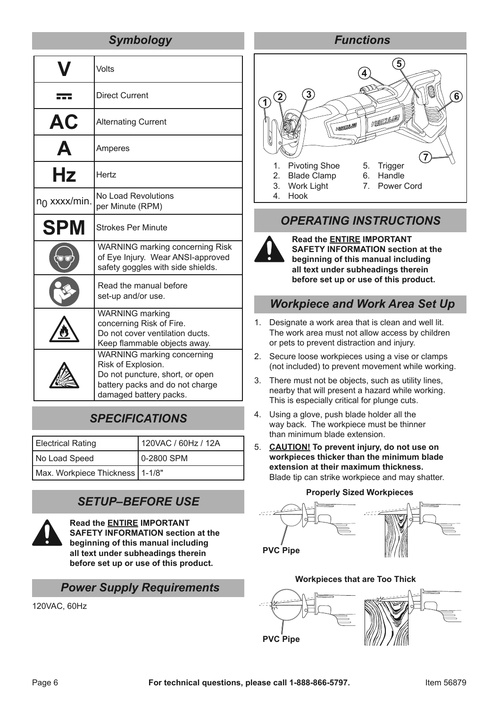# *Symbology*

|                 | Volts                                                                                                                                            |  |  |
|-----------------|--------------------------------------------------------------------------------------------------------------------------------------------------|--|--|
|                 | <b>Direct Current</b>                                                                                                                            |  |  |
| AC              | <b>Alternating Current</b>                                                                                                                       |  |  |
|                 | Amperes                                                                                                                                          |  |  |
| Hz              | Hertz                                                                                                                                            |  |  |
| $n_0$ xxxx/min. | No Load Revolutions<br>per Minute (RPM)                                                                                                          |  |  |
| <b>SPM</b>      | <b>Strokes Per Minute</b>                                                                                                                        |  |  |
|                 | <b>WARNING marking concerning Risk</b><br>of Eye Injury. Wear ANSI-approved<br>safety goggles with side shields.                                 |  |  |
|                 | Read the manual before<br>set-up and/or use.                                                                                                     |  |  |
|                 | <b>WARNING</b> marking<br>concerning Risk of Fire.<br>Do not cover ventilation ducts.<br>Keep flammable objects away.                            |  |  |
|                 | WARNING marking concerning<br>Risk of Explosion.<br>Do not puncture, short, or open<br>battery packs and do not charge<br>damaged battery packs. |  |  |

# *SPECIFICATIONS*

| <b>Electrical Rating</b>          | 120VAC / 60Hz / 12A |  |
|-----------------------------------|---------------------|--|
| No Load Speed                     | 0-2800 SPM          |  |
| Max. Workpiece Thickness   1-1/8" |                     |  |

# *SETUP–BEFORE USE*



**Read the ENTIRE IMPORTANT SAFETY INFORMATION section at the beginning of this manual including all text under subheadings therein before set up or use of this product.**

#### *Power Supply Requirements*

120VAC, 60Hz



# *OPERATING INSTRUCTIONS*



**Read the ENTIRE IMPORTANT SAFETY INFORMATION section at the beginning of this manual including all text under subheadings therein before set up or use of this product.**

### *Workpiece and Work Area Set Up*

- 1. Designate a work area that is clean and well lit. The work area must not allow access by children or pets to prevent distraction and injury.
- 2. Secure loose workpieces using a vise or clamps (not included) to prevent movement while working.
- 3. There must not be objects, such as utility lines, nearby that will present a hazard while working. This is especially critical for plunge cuts.
- 4. Using a glove, push blade holder all the way back. The workpiece must be thinner than minimum blade extension.
- 5. **CAUTION! To prevent injury, do not use on workpieces thicker than the minimum blade extension at their maximum thickness.** Blade tip can strike workpiece and may shatter.

# **Properly Sized Workpieces**





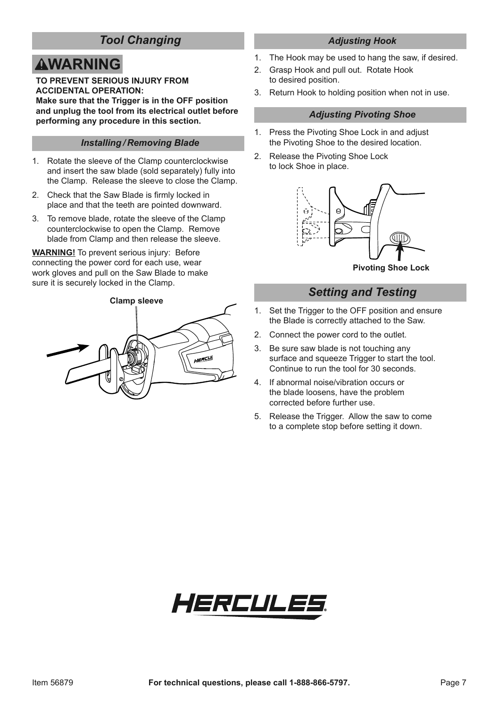# *Tool Changing*

# **AWARNING**

**TO PREVENT SERIOUS INJURY FROM ACCIDENTAL OPERATION:**

**Make sure that the Trigger is in the OFF position and unplug the tool from its electrical outlet before performing any procedure in this section.**

#### *Installing / Removing Blade*

- 1. Rotate the sleeve of the Clamp counterclockwise and insert the saw blade (sold separately) fully into the Clamp. Release the sleeve to close the Clamp.
- 2. Check that the Saw Blade is firmly locked in place and that the teeth are pointed downward.
- 3. To remove blade, rotate the sleeve of the Clamp counterclockwise to open the Clamp. Remove blade from Clamp and then release the sleeve.

**WARNING!** To prevent serious injury: Before connecting the power cord for each use, wear work gloves and pull on the Saw Blade to make sure it is securely locked in the Clamp.

# **Clamp sleeve**



### *Adjusting Hook* 1. The Hook may be used to hang the saw, if desired.

- 2. Grasp Hook and pull out. Rotate Hook to desired position.
- 3. Return Hook to holding position when not in use.

#### *Adjusting Pivoting Shoe*

- 1. Press the Pivoting Shoe Lock in and adjust the Pivoting Shoe to the desired location.
- 2. Release the Pivoting Shoe Lock to lock Shoe in place.



**Pivoting Shoe Lock**

# *Setting and Testing*

- 1. Set the Trigger to the OFF position and ensure the Blade is correctly attached to the Saw.
- 2. Connect the power cord to the outlet.
- 3. Be sure saw blade is not touching any surface and squeeze Trigger to start the tool. Continue to run the tool for 30 seconds.
- 4. If abnormal noise/vibration occurs or the blade loosens, have the problem corrected before further use.
- 5. Release the Trigger. Allow the saw to come to a complete stop before setting it down.

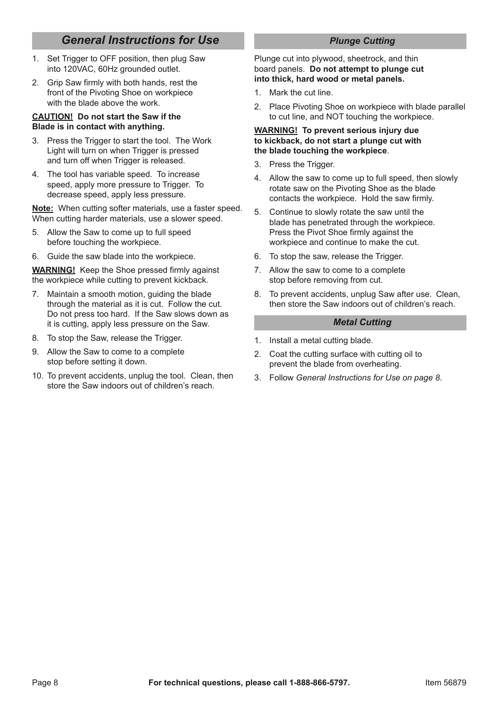# *General Instructions for Use*

- 1. Set Trigger to OFF position, then plug Saw into 120VAC, 60Hz grounded outlet.
- 2. Grip Saw firmly with both hands, rest the front of the Pivoting Shoe on workpiece with the blade above the work.

#### **CAUTION! Do not start the Saw if the blade is in contact with anything.**

- 3. Press the Trigger to start the tool. The Work Light will turn on when Trigger is pressed and turn off when Trigger is released.
- 4. The tool has variable speed. To increase speed, apply more pressure to Trigger. To decrease speed, apply less pressure.

**Note:** When cutting softer materials, use a faster speed. When cutting harder materials, use a slower speed.

- 5. Allow the Saw to come up to full speed before touching the workpiece.
- 6. Guide the saw blade into the workpiece.

**WARNING!** Keep the Shoe pressed firmly against the workpiece while cutting to prevent kickback.

- 7. Maintain a smooth motion, guiding the blade through the material as it is cut. Follow the cut. Do not press too hard. If the Saw slows down as it is cutting, apply less pressure on the Saw.
- 8. To stop the Saw, release the Trigger.
- 9. Allow the Saw to come to a complete stop before setting it down.
- 10. To prevent accidents, unplug the tool. Clean, then store the Saw indoors out of children's reach.

#### *Plunge Cutting*

Plunge cut into plywood, sheetrock, and thin board panels. **Do not attempt to plunge cut into thick, hard wood or metal panels.** 

- 1. Mark the cut line.
- 2. Place Pivoting Shoe on workpiece with blade parallel to cut line, and NOT touching the workpiece.

#### **WARNING! To prevent serious injury due to kickback, do not start a plunge cut with the blade touching the workpiece**.

- 3. Press the Trigger.
- 4. Allow the saw to come up to full speed, then slowly rotate saw on the Pivoting Shoe as the blade contacts the workpiece. Hold the saw firmly.
- 5. Continue to slowly rotate the saw until the blade has penetrated through the workpiece. Press the Pivot Shoe firmly against the workpiece and continue to make the cut.
- 6. To stop the saw, release the Trigger.
- 7. Allow the saw to come to a complete stop before removing from cut.
- 8. To prevent accidents, unplug Saw after use. Clean, then store the Saw indoors out of children's reach.

#### *Metal Cutting*

- 1. Install a metal cutting blade.
- 2. Coat the cutting surface with cutting oil to prevent the blade from overheating.
- 3. Follow *General Instructions for Use on page 8*.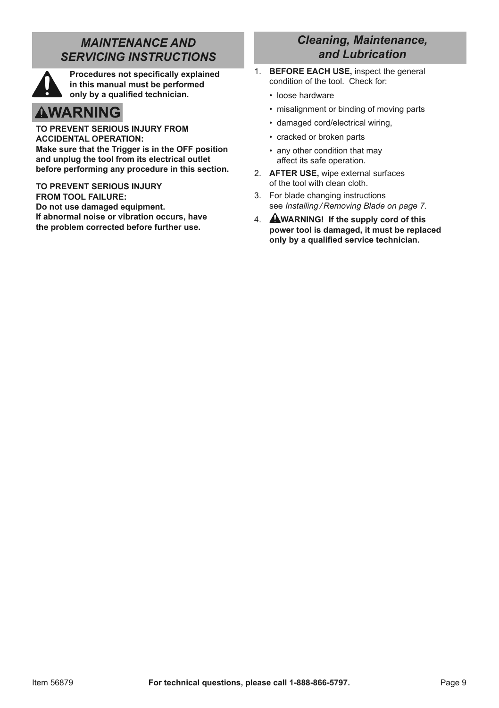# *MAINTENANCE AND SERVICING INSTRUCTIONS*



**Procedures not specifically explained in this manual must be performed only by a qualified technician.**

# **AWARNING**

**TO PREVENT SERIOUS INJURY FROM ACCIDENTAL OPERATION: Make sure that the Trigger is in the OFF position and unplug the tool from its electrical outlet before performing any procedure in this section.**

**TO PREVENT SERIOUS INJURY FROM TOOL FAILURE: Do not use damaged equipment. If abnormal noise or vibration occurs, have the problem corrected before further use.**

# *Cleaning, Maintenance, and Lubrication*

- 1. **bEFORE EACH USE,** inspect the general condition of the tool. Check for:
	- loose hardware
	- misalignment or binding of moving parts
	- damaged cord/electrical wiring,
	- cracked or broken parts
	- any other condition that may affect its safe operation.
- 2. **AFTER USE,** wipe external surfaces of the tool with clean cloth.
- 3. For blade changing instructions see *Installing / Removing Blade on page 7*.
- 4. **WARNING! If the supply cord of this power tool is damaged, it must be replaced only by a qualified service technician.**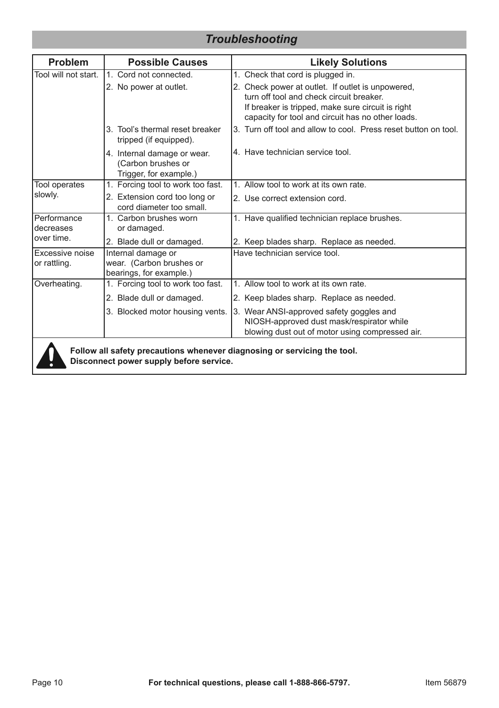# *Troubleshooting*

| <b>Problem</b>                                                           | <b>Possible Causes</b>                                                      | <b>Likely Solutions</b>                                                                                                                                                                                 |  |  |
|--------------------------------------------------------------------------|-----------------------------------------------------------------------------|---------------------------------------------------------------------------------------------------------------------------------------------------------------------------------------------------------|--|--|
| Tool will not start.                                                     | 1. Cord not connected.                                                      | 1. Check that cord is plugged in.                                                                                                                                                                       |  |  |
|                                                                          | 2. No power at outlet.                                                      | 2. Check power at outlet. If outlet is unpowered,<br>turn off tool and check circuit breaker.<br>If breaker is tripped, make sure circuit is right<br>capacity for tool and circuit has no other loads. |  |  |
|                                                                          | 3. Tool's thermal reset breaker<br>tripped (if equipped).                   | 3. Turn off tool and allow to cool. Press reset button on tool.                                                                                                                                         |  |  |
|                                                                          | 4. Internal damage or wear.<br>(Carbon brushes or<br>Trigger, for example.) | 4. Have technician service tool.                                                                                                                                                                        |  |  |
| Tool operates                                                            | 1. Forcing tool to work too fast.                                           | 1. Allow tool to work at its own rate.                                                                                                                                                                  |  |  |
| slowly.                                                                  | 2. Extension cord too long or<br>cord diameter too small                    | 2. Use correct extension cord.                                                                                                                                                                          |  |  |
| Performance<br>decreases                                                 | 1. Carbon brushes worn<br>or damaged.                                       | 1. Have qualified technician replace brushes.                                                                                                                                                           |  |  |
| over time.                                                               | 2. Blade dull or damaged.                                                   | 2. Keep blades sharp. Replace as needed.                                                                                                                                                                |  |  |
| Excessive noise<br>or rattling.                                          | Internal damage or<br>wear. (Carbon brushes or<br>bearings, for example.)   | Have technician service tool.                                                                                                                                                                           |  |  |
| Overheating.                                                             | 1. Forcing tool to work too fast.                                           | 1. Allow tool to work at its own rate.                                                                                                                                                                  |  |  |
|                                                                          | 2. Blade dull or damaged.                                                   | 2. Keep blades sharp. Replace as needed.                                                                                                                                                                |  |  |
|                                                                          | 3. Blocked motor housing vents.                                             | 3. Wear ANSI-approved safety goggles and<br>NIOSH-approved dust mask/respirator while<br>blowing dust out of motor using compressed air.                                                                |  |  |
| Follow all safety precautions whenever diagnosing or servicing the tool. |                                                                             |                                                                                                                                                                                                         |  |  |

**Disconnect power supply before service.**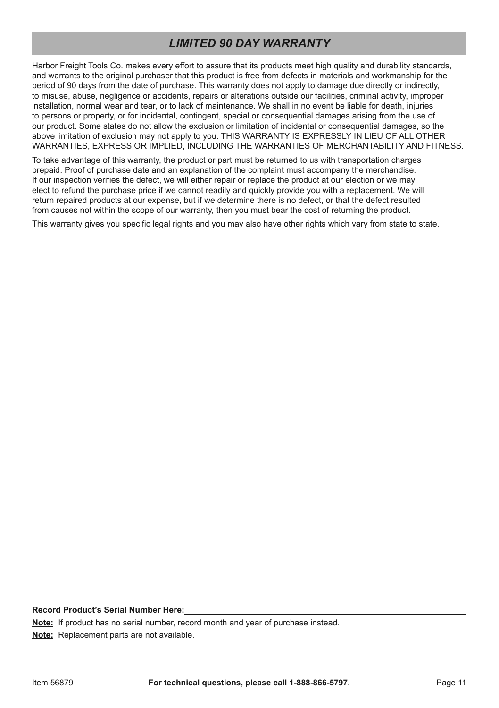# *LIMITED 90 DAY WARRANTY*

Harbor Freight Tools Co. makes every effort to assure that its products meet high quality and durability standards, and warrants to the original purchaser that this product is free from defects in materials and workmanship for the period of 90 days from the date of purchase. This warranty does not apply to damage due directly or indirectly, to misuse, abuse, negligence or accidents, repairs or alterations outside our facilities, criminal activity, improper installation, normal wear and tear, or to lack of maintenance. We shall in no event be liable for death, injuries to persons or property, or for incidental, contingent, special or consequential damages arising from the use of our product. Some states do not allow the exclusion or limitation of incidental or consequential damages, so the above limitation of exclusion may not apply to you. THIS WARRANTY IS EXPRESSLY IN LIEU OF ALL OTHER WARRANTIES, EXPRESS OR IMPLIED, INCLUDING THE WARRANTIES OF MERCHANTABILITY AND FITNESS.

To take advantage of this warranty, the product or part must be returned to us with transportation charges prepaid. Proof of purchase date and an explanation of the complaint must accompany the merchandise. If our inspection verifies the defect, we will either repair or replace the product at our election or we may elect to refund the purchase price if we cannot readily and quickly provide you with a replacement. We will return repaired products at our expense, but if we determine there is no defect, or that the defect resulted from causes not within the scope of our warranty, then you must bear the cost of returning the product.

This warranty gives you specific legal rights and you may also have other rights which vary from state to state.

**Record Product's Serial Number Here:**

**Note:** If product has no serial number, record month and year of purchase instead.

**Note:** Replacement parts are not available.